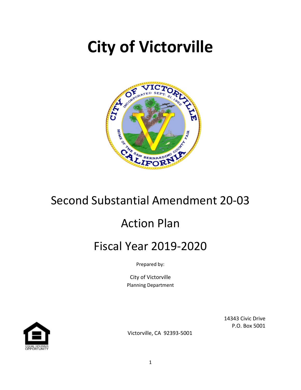# **City of Victorville**



# Second Substantial Amendment 20-03

# Action Plan

# Fiscal Year 2019-2020

Prepared by:

City of Victorville Planning Department



14343 Civic Drive P.O. Box 5001

Victorville, CA 92393-5001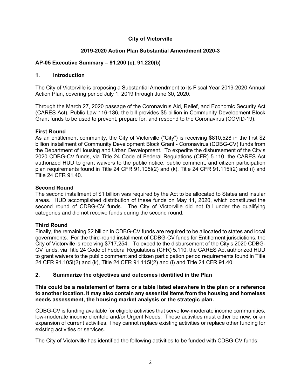#### **City of Victorville**

#### **2019-2020 Action Plan Substantial Amendment 2020-3**

#### **AP-05 Executive Summary – 91.200 (c), 91.220(b)**

#### **1. Introduction**

The City of Victorville is proposing a Substantial Amendment to its Fiscal Year 2019-2020 Annual Action Plan, covering period July 1, 2019 through June 30, 2020.

Through the March 27, 2020 passage of the Coronavirus Aid, Relief, and Economic Security Act (CARES Act), Public Law 116-136, the bill provides \$5 billion in Community Development Block Grant funds to be used to prevent, prepare for, and respond to the Coronavirus (COVID-19).

#### **First Round**

As an entitlement community, the City of Victorville ("City") is receiving \$810,528 in the first \$2 billion installment of Community Development Block Grant - Coronavirus (CDBG-CV) funds from the Department of Housing and Urban Development. To expedite the disbursement of the City's 2020 CDBG-CV funds, via Title 24 Code of Federal Regulations (CFR) 5.110, the CARES Act authorized HUD to grant waivers to the public notice, public comment, and citizen participation plan requirements found in Title 24 CFR 91.105I(2) and (k), Title 24 CFR 91.115I(2) and (i) and Title 24 CFR 91.40.

#### **Second Round**

The second installment of \$1 billion was required by the Act to be allocated to States and insular areas. HUD accomplished distribution of these funds on May 11, 2020, which constituted the second round of CDBG-CV funds. The City of Victorville did not fall under the qualifying categories and did not receive funds during the second round.

#### **Third Round**

Finally, the remaining \$2 billion in CDBG-CV funds are required to be allocated to states and local governments. For the third-round installment of CDBG-CV funds for Entitlement jurisdictions, the City of Victorville is receiving \$717,254. To expedite the disbursement of the City's 2020 CDBG-CV funds, via Title 24 Code of Federal Regulations (CFR) 5.110, the CARES Act authorized HUD to grant waivers to the public comment and citizen participation period requirements found in Title 24 CFR 91.105I(2) and (k), Title 24 CFR 91.115I(2) and (i) and Title 24 CFR 91.40.

#### **2. Summarize the objectives and outcomes identified in the Plan**

#### **This could be a restatement of items or a table listed elsewhere in the plan or a reference to another location. It may also contain any essential items from the housing and homeless needs assessment, the housing market analysis or the strategic plan.**

CDBG-CV is funding available for eligible activities that serve low-moderate income communities, low-moderate income clientele and/or Urgent Needs. These activities must either be new, or an expansion of current activities. They cannot replace existing activities or replace other funding for existing activities or services.

The City of Victorville has identified the following activities to be funded with CDBG-CV funds: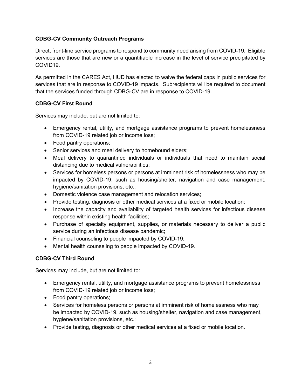#### **CDBG-CV Community Outreach Programs**

Direct, front-line service programs to respond to community need arising from COVID-19. Eligible services are those that are new or a quantifiable increase in the level of service precipitated by COVID19.

As permitted in the CARES Act, HUD has elected to waive the federal caps in public services for services that are in response to COVID-19 impacts. Subrecipients will be required to document that the services funded through CDBG-CV are in response to COVID-19.

#### **CDBG-CV First Round**

Services may include, but are not limited to:

- Emergency rental, utility, and mortgage assistance programs to prevent homelessness from COVID-19 related job or income loss;
- Food pantry operations;
- Senior services and meal delivery to homebound elders;
- Meal delivery to quarantined individuals or individuals that need to maintain social distancing due to medical vulnerabilities;
- Services for homeless persons or persons at imminent risk of homelessness who may be impacted by COVID-19, such as housing/shelter, navigation and case management, hygiene/sanitation provisions, etc.;
- Domestic violence case management and relocation services;
- Provide testing, diagnosis or other medical services at a fixed or mobile location;
- Increase the capacity and availability of targeted health services for infectious disease response within existing health facilities;
- Purchase of specialty equipment, supplies, or materials necessary to deliver a public service during an infectious disease pandemic;
- Financial counseling to people impacted by COVID-19;
- Mental health counseling to people impacted by COVID-19.

#### **CDBG-CV Third Round**

Services may include, but are not limited to:

- Emergency rental, utility, and mortgage assistance programs to prevent homelessness from COVID-19 related job or income loss;
- Food pantry operations;
- Services for homeless persons or persons at imminent risk of homelessness who may be impacted by COVID-19, such as housing/shelter, navigation and case management, hygiene/sanitation provisions, etc.;
- Provide testing, diagnosis or other medical services at a fixed or mobile location.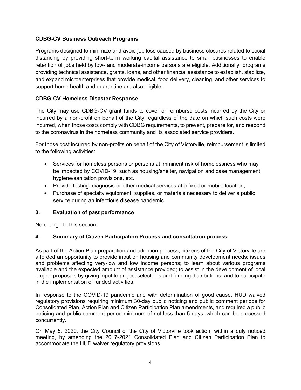#### **CDBG-CV Business Outreach Programs**

Programs designed to minimize and avoid job loss caused by business closures related to social distancing by providing short-term working capital assistance to small businesses to enable retention of jobs held by low- and moderate-income persons are eligible. Additionally, programs providing technical assistance, grants, loans, and other financial assistance to establish, stabilize, and expand microenterprises that provide medical, food delivery, cleaning, and other services to support home health and quarantine are also eligible.

#### **CDBG-CV Homeless Disaster Response**

The City may use CDBG-CV grant funds to cover or reimburse costs incurred by the City or incurred by a non-profit on behalf of the City regardless of the date on which such costs were incurred, when those costs comply with CDBG requirements, to prevent, prepare for, and respond to the coronavirus in the homeless community and its associated service providers.

For those cost incurred by non-profits on behalf of the City of Victorville, reimbursement is limited to the following activities:

- Services for homeless persons or persons at imminent risk of homelessness who may be impacted by COVID-19, such as housing/shelter, navigation and case management, hygiene/sanitation provisions, etc.;
- Provide testing, diagnosis or other medical services at a fixed or mobile location;
- Purchase of specialty equipment, supplies, or materials necessary to deliver a public service during an infectious disease pandemic.

#### **3. Evaluation of past performance**

No change to this section.

#### **4. Summary of Citizen Participation Process and consultation process**

As part of the Action Plan preparation and adoption process, citizens of the City of Victorville are afforded an opportunity to provide input on housing and community development needs; issues and problems affecting very-low and low income persons; to learn about various programs available and the expected amount of assistance provided; to assist in the development of local project proposals by giving input to project selections and funding distributions; and to participate in the implementation of funded activities.

In response to the COVID-19 pandemic and with determination of good cause, HUD waived regulatory provisions requiring minimum 30-day public noticing and public comment periods for Consolidated Plan, Action Plan and Citizen Participation Plan amendments, and required a public noticing and public comment period minimum of not less than 5 days, which can be processed concurrently.

On May 5, 2020, the City Council of the City of Victorville took action, within a duly noticed meeting, by amending the 2017-2021 Consolidated Plan and Citizen Participation Plan to accommodate the HUD waiver regulatory provisions.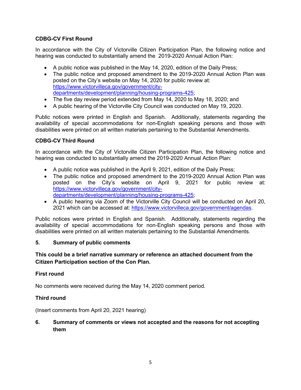#### **CDBG-CV First Round**

In accordance with the City of Victorville Citizen Participation Plan, the following notice and hearing was conducted to substantially amend the 2019-2020 Annual Action Plan:

- A public notice was published in the May 14, 2020, edition of the Daily Press;
- The public notice and proposed amendment to the 2019-2020 Annual Action Plan was posted on the City's website on May 14, 2020 for public review at: [https://www.victorvilleca.gov/government/city](https://www.victorvilleca.gov/government/city-departments/development/planning/housing-programs-425)[departments/development/planning/housing-programs-425;](https://www.victorvilleca.gov/government/city-departments/development/planning/housing-programs-425)
- The five day review period extended from May 14, 2020 to May 18, 2020; and
- A public hearing of the Victorville City Council was conducted on May 19, 2020.

Public notices were printed in English and Spanish. Additionally, statements regarding the availability of special accommodations for non-English speaking persons and those with disabilities were printed on all written materials pertaining to the Substantial Amendments.

#### **CDBG-CV Third Round**

In accordance with the City of Victorville Citizen Participation Plan, the following notice and hearing was conducted to substantially amend the 2019-2020 Annual Action Plan:

- A public notice was published in the April 9, 2021, edition of the Daily Press;
- The public notice and proposed amendment to the 2019-2020 Annual Action Plan was posted on the City's website on April 9, 2021 for public review at: [https://www.victorvilleca.gov/government/city](https://www.victorvilleca.gov/government/city-departments/development/planning/housing-programs-425)[departments/development/planning/housing-programs-425;](https://www.victorvilleca.gov/government/city-departments/development/planning/housing-programs-425)
- A public hearing via Zoom of the Victorville City Council will be conducted on April 20, 2021 which can be accessed at: [https://www.victorvilleca.gov/government/agendas.](https://www.victorvilleca.gov/government/agendas)

Public notices were printed in English and Spanish. Additionally, statements regarding the availability of special accommodations for non-English speaking persons and those with disabilities were printed on all written materials pertaining to the Substantial Amendments.

#### **5. Summary of public comments**

#### **This could be a brief narrative summary or reference an attached document from the Citizen Participation section of the Con Plan.**

#### **First round**

No comments were received during the May 14, 2020 comment period.

#### **Third round**

(Insert comments from April 20, 2021 hearing)

#### **6. Summary of comments or views not accepted and the reasons for not accepting them**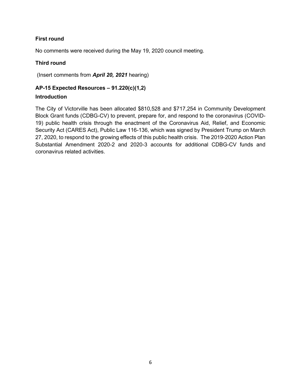#### **First round**

No comments were received during the May 19, 2020 council meeting.

#### **Third round**

(Insert comments from *April 20, 2021* hearing)

## **AP-15 Expected Resources – 91.220(c)(1,2)**

#### **Introduction**

The City of Victorville has been allocated \$810,528 and \$717,254 in Community Development Block Grant funds (CDBG-CV) to prevent, prepare for, and respond to the coronavirus (COVID-19) public health crisis through the enactment of the Coronavirus Aid, Relief, and Economic Security Act (CARES Act), Public Law 116-136, which was signed by President Trump on March 27, 2020, to respond to the growing effects of this public health crisis. The 2019-2020 Action Plan Substantial Amendment 2020-2 and 2020-3 accounts for additional CDBG-CV funds and coronavirus related activities.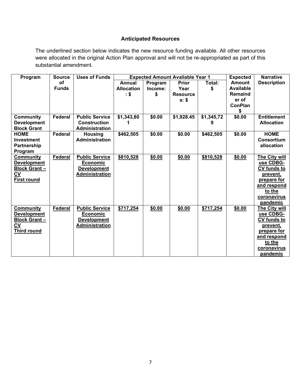#### **Anticipated Resources**

The underlined section below indicates the new resource funding available. All other resources were allocated in the original Action Plan approval and will not be re-appropriated as part of this substantial amendment.

| Program             | <b>Source</b>  | <b>Uses of Funds</b>  | <b>Expected Amount Available Year 1</b> |         |                 | <b>Expected</b> | <b>Narrative</b> |                    |
|---------------------|----------------|-----------------------|-----------------------------------------|---------|-----------------|-----------------|------------------|--------------------|
|                     | of             |                       | Annual                                  | Program | Prior           | Total:          | <b>Amount</b>    | <b>Description</b> |
|                     | <b>Funds</b>   |                       | <b>Allocation</b>                       | Income: | Year            | \$              | <b>Available</b> |                    |
|                     |                |                       | $\cdot$ \$                              | \$      | <b>Resource</b> |                 | Remaind          |                    |
|                     |                |                       |                                         |         | s: \$           |                 | er of            |                    |
|                     |                |                       |                                         |         |                 |                 | <b>ConPlan</b>   |                    |
|                     |                |                       |                                         |         |                 |                 | \$               |                    |
| <b>Community</b>    | <b>Federal</b> | <b>Public Service</b> | \$1,343,80                              | \$0.00  | \$1,928.45      | \$1,345,72      | \$0.00           | <b>Entitlement</b> |
| <b>Development</b>  |                | <b>Construction</b>   |                                         |         |                 | 9               |                  | <b>Allocation</b>  |
| <b>Block Grant</b>  |                | <b>Administration</b> |                                         |         |                 |                 |                  |                    |
| <b>HOME</b>         | <b>Federal</b> | <b>Housing</b>        | \$462,505                               | \$0.00  | \$0.00          | \$462,505       | \$0.00           | <b>HOME</b>        |
| <b>Investment</b>   |                | <b>Administration</b> |                                         |         |                 |                 |                  | <b>Consortium</b>  |
| Partnership         |                |                       |                                         |         |                 |                 |                  | allocation         |
| Program             |                |                       |                                         |         |                 |                 |                  |                    |
| <b>Community</b>    | <b>Federal</b> | <b>Public Service</b> | \$810,528                               | \$0.00  | \$0.00          | \$810,528       | \$0.00           | The City will      |
| <b>Development</b>  |                | Economic              |                                         |         |                 |                 |                  | use CDBG-          |
| <b>Block Grant-</b> |                | <b>Development</b>    |                                         |         |                 |                 |                  | <b>CV funds to</b> |
| <b>CV</b>           |                | <b>Administration</b> |                                         |         |                 |                 |                  | <u>prevent,</u>    |
| <b>First round</b>  |                |                       |                                         |         |                 |                 |                  | prepare for        |
|                     |                |                       |                                         |         |                 |                 |                  | and respond        |
|                     |                |                       |                                         |         |                 |                 |                  | to the             |
|                     |                |                       |                                         |         |                 |                 |                  | coronavirus        |
|                     |                |                       |                                         |         |                 |                 |                  | pandemic           |
| <b>Community</b>    | Federal        | <b>Public Service</b> | \$717,254                               | \$0.00  | \$0.00          | \$717,254       | \$0.00           | The City will      |
| <b>Development</b>  |                | Economic              |                                         |         |                 |                 |                  | use CDBG-          |
| <b>Block Grant-</b> |                | <b>Development</b>    |                                         |         |                 |                 |                  | CV funds to        |
| CV                  |                | <b>Administration</b> |                                         |         |                 |                 |                  | prevent,           |
| <b>Third round</b>  |                |                       |                                         |         |                 |                 |                  | prepare for        |
|                     |                |                       |                                         |         |                 |                 |                  | and respond        |
|                     |                |                       |                                         |         |                 |                 |                  | to the             |
|                     |                |                       |                                         |         |                 |                 |                  | coronavirus        |
|                     |                |                       |                                         |         |                 |                 |                  | pandemic           |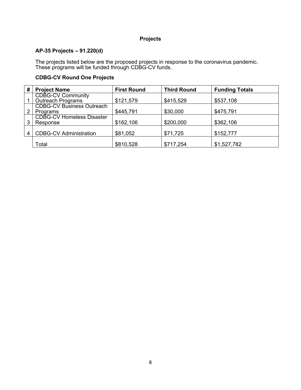#### **Projects**

#### **AP-35 Projects – 91.220(d)**

The projects listed below are the proposed projects in response to the coronavirus pandemic. These programs will be funded through CDBG-CV funds.

#### **CDBG-CV Round One Projects**

| # | <b>Project Name</b>                                  | <b>First Round</b> | <b>Third Round</b> | <b>Funding Totals</b> |
|---|------------------------------------------------------|--------------------|--------------------|-----------------------|
|   | <b>CDBG-CV Community</b><br><b>Outreach Programs</b> | \$121,579          | \$415,529          | \$537,108             |
|   | <b>CDBG-CV Business Outreach</b><br>Programs         | \$445,791          | \$30,000           | \$475,791             |
|   | <b>CDBG-CV Homeless Disaster</b><br>Response         | \$162,106          | \$200,000          | \$362,106             |
| 4 | <b>CDBG-CV Administration</b>                        | \$81,052           | \$71,725           | \$152,777             |
|   | Total                                                | \$810,528          | \$717,254          | \$1,527,782           |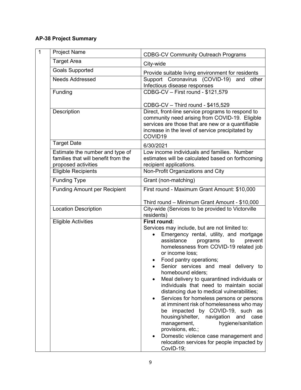### **AP-38 Project Summary**

| $\overline{1}$ | <b>Project Name</b>                                                                           | <b>CDBG-CV Community Outreach Programs</b>                                                                                                                                                                                                                                                                                                                                                                                                                                                                                                                                                                                                                                                                                                                                                          |
|----------------|-----------------------------------------------------------------------------------------------|-----------------------------------------------------------------------------------------------------------------------------------------------------------------------------------------------------------------------------------------------------------------------------------------------------------------------------------------------------------------------------------------------------------------------------------------------------------------------------------------------------------------------------------------------------------------------------------------------------------------------------------------------------------------------------------------------------------------------------------------------------------------------------------------------------|
|                | <b>Target Area</b>                                                                            | City-wide                                                                                                                                                                                                                                                                                                                                                                                                                                                                                                                                                                                                                                                                                                                                                                                           |
|                | <b>Goals Supported</b>                                                                        | Provide suitable living environment for residents                                                                                                                                                                                                                                                                                                                                                                                                                                                                                                                                                                                                                                                                                                                                                   |
|                | <b>Needs Addressed</b>                                                                        | Support Coronavirus (COVID-19) and<br>other<br>Infectious disease responses                                                                                                                                                                                                                                                                                                                                                                                                                                                                                                                                                                                                                                                                                                                         |
|                | Funding                                                                                       | CDBG-CV - First round - \$121,579                                                                                                                                                                                                                                                                                                                                                                                                                                                                                                                                                                                                                                                                                                                                                                   |
|                |                                                                                               | CDBG-CV - Third round - \$415,529                                                                                                                                                                                                                                                                                                                                                                                                                                                                                                                                                                                                                                                                                                                                                                   |
|                | Description                                                                                   | Direct, front-line service programs to respond to<br>community need arising from COVID-19. Eligible<br>services are those that are new or a quantifiable<br>increase in the level of service precipitated by<br>COVID19                                                                                                                                                                                                                                                                                                                                                                                                                                                                                                                                                                             |
|                | <b>Target Date</b>                                                                            | 6/30/2021                                                                                                                                                                                                                                                                                                                                                                                                                                                                                                                                                                                                                                                                                                                                                                                           |
|                | Estimate the number and type of<br>families that will benefit from the<br>proposed activities | Low income individuals and families. Number<br>estimates will be calculated based on forthcoming<br>recipient applications.                                                                                                                                                                                                                                                                                                                                                                                                                                                                                                                                                                                                                                                                         |
|                | <b>Eligible Recipients</b>                                                                    | Non-Profit Organizations and City                                                                                                                                                                                                                                                                                                                                                                                                                                                                                                                                                                                                                                                                                                                                                                   |
|                | <b>Funding Type</b>                                                                           | Grant (non-matching)                                                                                                                                                                                                                                                                                                                                                                                                                                                                                                                                                                                                                                                                                                                                                                                |
|                | <b>Funding Amount per Recipient</b>                                                           | First round - Maximum Grant Amount: \$10,000                                                                                                                                                                                                                                                                                                                                                                                                                                                                                                                                                                                                                                                                                                                                                        |
|                | <b>Location Description</b>                                                                   | Third round - Minimum Grant Amount - \$10,000<br>City-wide (Services to be provided to Victorville<br>residents)                                                                                                                                                                                                                                                                                                                                                                                                                                                                                                                                                                                                                                                                                    |
|                | <b>Eligible Activities</b>                                                                    | <b>First round:</b><br>Services may include, but are not limited to:<br>Emergency rental, utility, and mortgage<br>assistance<br>programs<br>prevent<br>to<br>homelessness from COVID-19 related job<br>or income loss;<br>Food pantry operations;<br>Senior services and meal delivery to<br>homebound elders;<br>Meal delivery to quarantined individuals or<br>individuals that need to maintain social<br>distancing due to medical vulnerabilities;<br>Services for homeless persons or persons<br>at imminent risk of homelessness who may<br>be impacted by COVID-19, such as<br>housing/shelter,<br>navigation<br>and<br>case<br>hygiene/sanitation<br>management,<br>provisions, etc.;<br>Domestic violence case management and<br>relocation services for people impacted by<br>CovID-19; |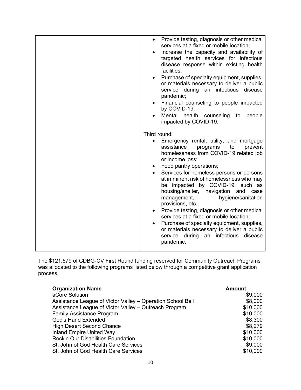| Provide testing, diagnosis or other medical<br>$\bullet$<br>services at a fixed or mobile location;<br>Increase the capacity and availability of<br>targeted health services for infectious<br>disease response within existing health<br>facilities;<br>Purchase of specialty equipment, supplies,<br>or materials necessary to deliver a public<br>service during an infectious disease<br>pandemic;<br>Financial counseling to people impacted<br>by COVID-19;<br>Mental health counseling to<br>people<br>impacted by COVID-19.                                                                                                                    |
|--------------------------------------------------------------------------------------------------------------------------------------------------------------------------------------------------------------------------------------------------------------------------------------------------------------------------------------------------------------------------------------------------------------------------------------------------------------------------------------------------------------------------------------------------------------------------------------------------------------------------------------------------------|
|                                                                                                                                                                                                                                                                                                                                                                                                                                                                                                                                                                                                                                                        |
| Third round:                                                                                                                                                                                                                                                                                                                                                                                                                                                                                                                                                                                                                                           |
| Emergency rental, utility, and mortgage<br>assistance<br>programs<br>to<br>prevent<br>homelessness from COVID-19 related job<br>or income loss;<br>Food pantry operations;<br>Services for homeless persons or persons<br>at imminent risk of homelessness who may<br>be impacted by COVID-19, such as<br>housing/shelter, navigation and case<br>management,<br>hygiene/sanitation<br>provisions, etc.;<br>Provide testing, diagnosis or other medical<br>services at a fixed or mobile location;<br>Purchase of specialty equipment, supplies,<br>or materials necessary to deliver a public<br>an infectious disease<br>service during<br>pandemic. |

The \$121,579 of CDBG-CV First Round funding reserved for Community Outreach Programs was allocated to the following programs listed below through a competitive grant application process.

| <b>Organization Name</b>                                   | <b>Amount</b> |
|------------------------------------------------------------|---------------|
| aCore Solution                                             | \$9,000       |
| Assistance League of Victor Valley - Operation School Bell | \$8,000       |
| Assistance League of Victor Valley - Outreach Program      | \$10,000      |
| <b>Family Assistance Program</b>                           | \$10,000      |
| <b>God's Hand Extended</b>                                 | \$8,300       |
| <b>High Desert Second Chance</b>                           | \$8,279       |
| <b>Inland Empire United Way</b>                            | \$10,000      |
| <b>Rock'n Our Disabilities Foundation</b>                  | \$10,000      |
| St. John of God Health Care Services                       | \$9,000       |
| St. John of God Health Care Services                       | \$10,000      |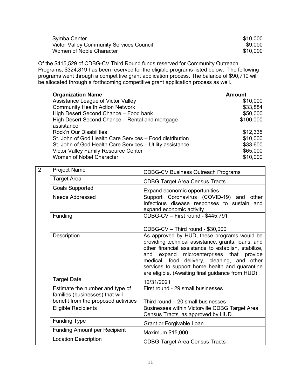| Symba Center                             | \$10,000 |
|------------------------------------------|----------|
| Victor Valley Community Services Council | \$9.000  |
| Women of Noble Character                 | \$10,000 |

Of the \$415,529 of CDBG-CV Third Round funds reserved for Community Outreach Programs, \$324,819 has been reserved for the eligible programs listed below. The following programs went through a competitive grant application process. The balance of \$90,710 will be allocated through a forthcoming competitive grant application process as well.

| <b>Organization Name</b>                                  | <b>Amount</b> |
|-----------------------------------------------------------|---------------|
| Assistance League of Victor Valley                        | \$10,000      |
| <b>Community Health Action Network</b>                    | \$33,884      |
| High Desert Second Chance - Food bank                     | \$50,000      |
| High Desert Second Chance – Rental and mortgage           | \$100,000     |
| assistance                                                |               |
| Rock'n Our Disabilities                                   | \$12,335      |
| St. John of God Health Care Services – Food distribution  | \$10,000      |
| St. John of God Health Care Services - Utility assistance | \$33,600      |
| <b>Victor Valley Family Resource Center</b>               | \$65,000      |
| Women of Nobel Character                                  | \$10,000      |

| 2 | <b>Project Name</b>                                                                                        | <b>CDBG-CV Business Outreach Programs</b>                                                                                                                                                                                                                                                                                                                 |
|---|------------------------------------------------------------------------------------------------------------|-----------------------------------------------------------------------------------------------------------------------------------------------------------------------------------------------------------------------------------------------------------------------------------------------------------------------------------------------------------|
|   | <b>Target Area</b>                                                                                         | <b>CDBG Target Area Census Tracts</b>                                                                                                                                                                                                                                                                                                                     |
|   | <b>Goals Supported</b>                                                                                     | Expand economic opportunities                                                                                                                                                                                                                                                                                                                             |
|   | <b>Needs Addressed</b>                                                                                     | Support Coronavirus (COVID-19) and other<br>Infectious disease responses to sustain and<br>expand economic activity                                                                                                                                                                                                                                       |
|   | Funding                                                                                                    | CDBG-CV - First round - \$445,791                                                                                                                                                                                                                                                                                                                         |
|   |                                                                                                            | CDBG-CV - Third round - \$30,000                                                                                                                                                                                                                                                                                                                          |
|   | Description                                                                                                | As approved by HUD, these programs would be<br>providing technical assistance, grants, loans, and<br>other financial assistance to establish, stabilize,<br>and expand microenterprises that provide<br>medical, food delivery, cleaning, and other<br>services to support home health and quarantine<br>are eligible. (Awaiting final guidance from HUD) |
|   | <b>Target Date</b>                                                                                         | 12/31/2021                                                                                                                                                                                                                                                                                                                                                |
|   | Estimate the number and type of<br>families (businesses) that will<br>benefit from the proposed activities | First round - 29 small businesses<br>Third round $-20$ small businesses                                                                                                                                                                                                                                                                                   |
|   | <b>Eligible Recipients</b>                                                                                 | Businesses within Victorville CDBG Target Area<br>Census Tracts, as approved by HUD.                                                                                                                                                                                                                                                                      |
|   | <b>Funding Type</b>                                                                                        | Grant or Forgivable Loan                                                                                                                                                                                                                                                                                                                                  |
|   | <b>Funding Amount per Recipient</b>                                                                        | Maximum \$15,000                                                                                                                                                                                                                                                                                                                                          |
|   | <b>Location Description</b>                                                                                | <b>CDBG Target Area Census Tracts</b>                                                                                                                                                                                                                                                                                                                     |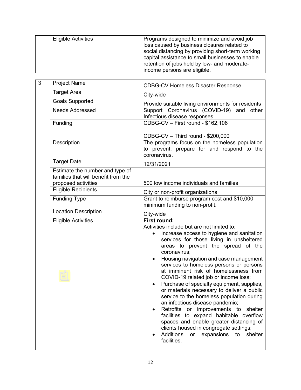| Programs designed to minimize and avoid job<br><b>Eligible Activities</b><br>loss caused by business closures related to<br>social distancing by providing short-term working<br>capital assistance to small businesses to enable<br>retention of jobs held by low- and moderate- |
|-----------------------------------------------------------------------------------------------------------------------------------------------------------------------------------------------------------------------------------------------------------------------------------|
|-----------------------------------------------------------------------------------------------------------------------------------------------------------------------------------------------------------------------------------------------------------------------------------|

| 3 | <b>Project Name</b>                                                                           | <b>CDBG-CV Homeless Disaster Response</b>                                                                                                                                                                                                                                                                                                                                                                                                                                                                                                                                                                                                                                                                                                                                                                                               |  |
|---|-----------------------------------------------------------------------------------------------|-----------------------------------------------------------------------------------------------------------------------------------------------------------------------------------------------------------------------------------------------------------------------------------------------------------------------------------------------------------------------------------------------------------------------------------------------------------------------------------------------------------------------------------------------------------------------------------------------------------------------------------------------------------------------------------------------------------------------------------------------------------------------------------------------------------------------------------------|--|
|   | <b>Target Area</b>                                                                            | City-wide                                                                                                                                                                                                                                                                                                                                                                                                                                                                                                                                                                                                                                                                                                                                                                                                                               |  |
|   | <b>Goals Supported</b>                                                                        | Provide suitable living environments for residents                                                                                                                                                                                                                                                                                                                                                                                                                                                                                                                                                                                                                                                                                                                                                                                      |  |
|   | <b>Needs Addressed</b>                                                                        | Support Coronavirus (COVID-19)<br>and<br>other<br>Infectious disease responses                                                                                                                                                                                                                                                                                                                                                                                                                                                                                                                                                                                                                                                                                                                                                          |  |
|   | Funding                                                                                       | CDBG-CV - First round - \$162,106                                                                                                                                                                                                                                                                                                                                                                                                                                                                                                                                                                                                                                                                                                                                                                                                       |  |
|   |                                                                                               | CDBG-CV - Third round - \$200,000                                                                                                                                                                                                                                                                                                                                                                                                                                                                                                                                                                                                                                                                                                                                                                                                       |  |
|   | Description                                                                                   | The programs focus on the homeless population<br>to prevent, prepare for and respond to the<br>coronavirus.                                                                                                                                                                                                                                                                                                                                                                                                                                                                                                                                                                                                                                                                                                                             |  |
|   | <b>Target Date</b>                                                                            | 12/31/2021                                                                                                                                                                                                                                                                                                                                                                                                                                                                                                                                                                                                                                                                                                                                                                                                                              |  |
|   | Estimate the number and type of<br>families that will benefit from the<br>proposed activities | 500 low income individuals and families                                                                                                                                                                                                                                                                                                                                                                                                                                                                                                                                                                                                                                                                                                                                                                                                 |  |
|   | <b>Eligible Recipients</b>                                                                    | City or non-profit organizations<br>Grant to reimburse program cost and \$10,000<br>minimum funding to non-profit.<br>City-wide                                                                                                                                                                                                                                                                                                                                                                                                                                                                                                                                                                                                                                                                                                         |  |
|   | <b>Funding Type</b>                                                                           |                                                                                                                                                                                                                                                                                                                                                                                                                                                                                                                                                                                                                                                                                                                                                                                                                                         |  |
|   | <b>Location Description</b>                                                                   |                                                                                                                                                                                                                                                                                                                                                                                                                                                                                                                                                                                                                                                                                                                                                                                                                                         |  |
|   | <b>Eligible Activities</b>                                                                    | <b>First round:</b><br>Activities include but are not limited to:<br>Increase access to hygiene and sanitation<br>$\bullet$<br>services for those living in unsheltered<br>areas to prevent the spread of the<br>coronavirus;<br>Housing navigation and case management<br>٠<br>services to homeless persons or persons<br>at imminent risk of homelessness from<br>COVID-19 related job or income loss;<br>Purchase of specialty equipment, supplies,<br>or materials necessary to deliver a public<br>service to the homeless population during<br>an infectious disease pandemic;<br>Retrofits<br>or improvements to shelter<br>facilities to expand habitable overflow<br>spaces and enable greater distancing of<br>clients housed in congregate settings;<br><b>Additions</b><br>expansions<br>to<br>shelter<br>or<br>facilities. |  |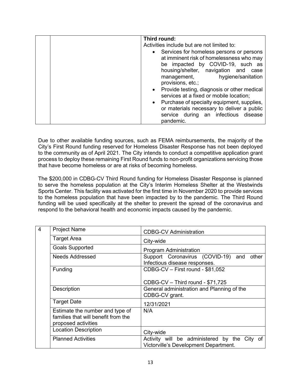| Third round:                                                                                                                                                                                                                    |
|---------------------------------------------------------------------------------------------------------------------------------------------------------------------------------------------------------------------------------|
| Activities include but are not limited to:                                                                                                                                                                                      |
| • Services for homeless persons or persons<br>at imminent risk of homelessness who may<br>be impacted by COVID-19, such as<br>housing/shelter, navigation and<br>case<br>hygiene/sanitation<br>management,<br>provisions, etc.; |
| Provide testing, diagnosis or other medical<br>$\bullet$<br>services at a fixed or mobile location;                                                                                                                             |
| • Purchase of specialty equipment, supplies,<br>or materials necessary to deliver a public<br>service during an infectious disease<br>pandemic.                                                                                 |

Due to other available funding sources, such as FEMA reimbursements, the majority of the City's First Round funding reserved for Homeless Disaster Response has not been deployed to the community as of April 2021. The City intends to conduct a competitive application grant process to deploy these remaining First Round funds to non-profit organizations servicing those that have become homeless or are at risks of becoming homeless.

The \$200,000 in CDBG-CV Third Round funding for Homeless Disaster Response is planned to serve the homeless population at the City's Interim Homeless Shelter at the Westwinds Sports Center. This facility was activated for the first time in November 2020 to provide services to the homeless population that have been impacted by to the pandemic. The Third Round funding will be used specifically at the shelter to prevent the spread of the coronavirus and respond to the behavioral health and economic impacts caused by the pandemic.

| $\overline{4}$ | <b>Project Name</b>                                                                           | <b>CDBG-CV Administration</b>                                                         |
|----------------|-----------------------------------------------------------------------------------------------|---------------------------------------------------------------------------------------|
|                | <b>Target Area</b>                                                                            | City-wide                                                                             |
|                | <b>Goals Supported</b>                                                                        | Program Administration                                                                |
|                | <b>Needs Addressed</b>                                                                        | Support Coronavirus (COVID-19) and<br>other<br>Infectious disease responses.          |
|                | Funding                                                                                       | CDBG-CV - First round - \$81,052                                                      |
|                |                                                                                               | CDBG-CV - Third round - \$71,725                                                      |
|                | Description                                                                                   | General administration and Planning of the<br>CDBG-CV grant.                          |
|                | <b>Target Date</b>                                                                            | 12/31/2021                                                                            |
|                | Estimate the number and type of<br>families that will benefit from the<br>proposed activities | N/A                                                                                   |
|                | <b>Location Description</b>                                                                   | City-wide                                                                             |
|                | <b>Planned Activities</b>                                                                     | Activity will be administered by the City of<br>Victorville's Development Department. |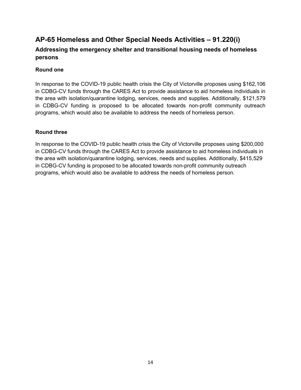### **AP-65 Homeless and Other Special Needs Activities – 91.220(i)**

#### **Addressing the emergency shelter and transitional housing needs of homeless persons**

#### **Round one**

In response to the COVID-19 public health crisis the City of Victorville proposes using \$162,106 in CDBG-CV funds through the CARES Act to provide assistance to aid homeless individuals in the area with isolation/quarantine lodging, services, needs and supplies. Additionally, \$121,579 in CDBG-CV funding is proposed to be allocated towards non-profit community outreach programs, which would also be available to address the needs of homeless person.

#### **Round three**

In response to the COVID-19 public health crisis the City of Victorville proposes using \$200,000 in CDBG-CV funds through the CARES Act to provide assistance to aid homeless individuals in the area with isolation/quarantine lodging, services, needs and supplies. Additionally, \$415,529 in CDBG-CV funding is proposed to be allocated towards non-profit community outreach programs, which would also be available to address the needs of homeless person.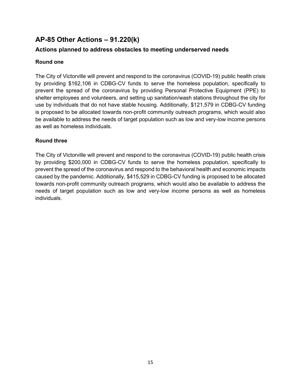### **AP-85 Other Actions – 91.220(k)**

#### **Actions planned to address obstacles to meeting underserved needs**

#### **Round one**

The City of Victorville will prevent and respond to the coronavirus (COVID-19) public health crisis by providing \$162,106 in CDBG-CV funds to serve the homeless population, specifically to prevent the spread of the coronavirus by providing Personal Protective Equipment (PPE) to shelter employees and volunteers, and setting up sanitation/wash stations throughout the city for use by individuals that do not have stable housing. Additionally, \$121,579 in CDBG-CV funding is proposed to be allocated towards non-profit community outreach programs, which would also be available to address the needs of target population such as low and very-low income persons as well as homeless individuals.

#### **Round three**

The City of Victorville will prevent and respond to the coronavirus (COVID-19) public health crisis by providing \$200,000 in CDBG-CV funds to serve the homeless population, specifically to prevent the spread of the coronavirus and respond to the behavioral health and economic impacts caused by the pandemic. Additionally, \$415,529 in CDBG-CV funding is proposed to be allocated towards non-profit community outreach programs, which would also be available to address the needs of target population such as low and very-low income persons as well as homeless individuals.